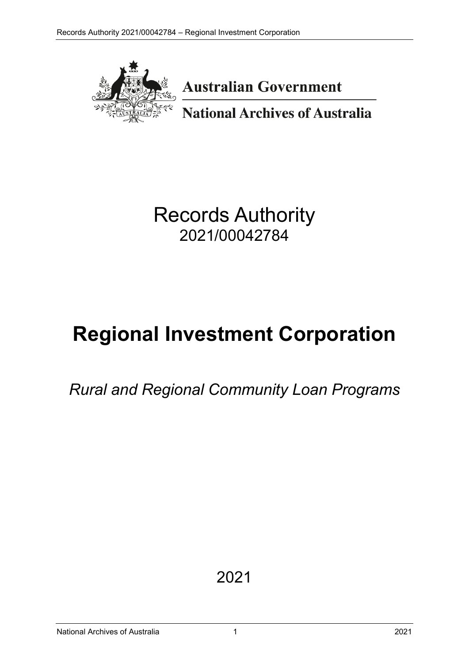

**Australian Government** 

**National Archives of Australia** 

Records Authority 2021/00042784

# **Regional Investment Corporation**

*Rural and Regional Community Loan Programs*

2021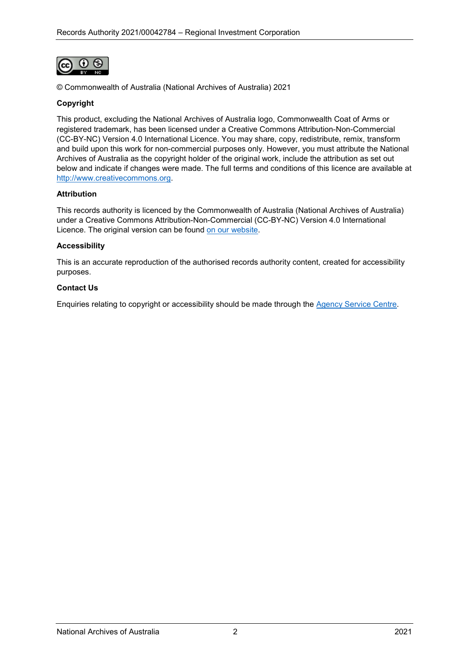

© Commonwealth of Australia (National Archives of Australia) 2021

#### **Copyright**

This product, excluding the National Archives of Australia logo, Commonwealth Coat of Arms or registered trademark, has been licensed under a Creative Commons Attribution-Non-Commercial (CC-BY-NC) Version 4.0 International Licence. You may share, copy, redistribute, remix, transform and build upon this work for non-commercial purposes only. However, you must attribute the National Archives of Australia as the copyright holder of the original work, include the attribution as set out below and indicate if changes were made. The full terms and conditions of this licence are available at [http://www.creativecommons.org.](http://www.creativecommons.org/)

#### **Attribution**

This records authority is licenced by the Commonwealth of Australia (National Archives of Australia) under a Creative Commons Attribution-Non-Commercial (CC-BY-NC) Version 4.0 International Licence. The original version can be found [on our website.](https://www.naa.gov.au/)

#### **Accessibility**

This is an accurate reproduction of the authorised records authority content, created for accessibility purposes.

#### **Contact Us**

Enquiries relating to copyright or accessibility should be made through the [Agency Service Centre.](https://www.naa.gov.au/information-management/agency-service-centre)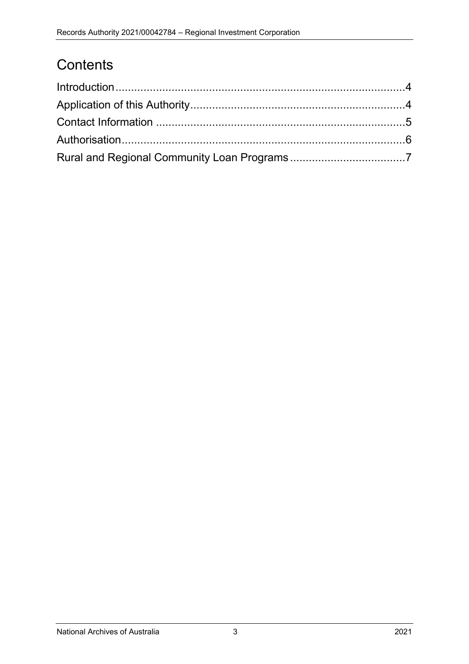# **Contents**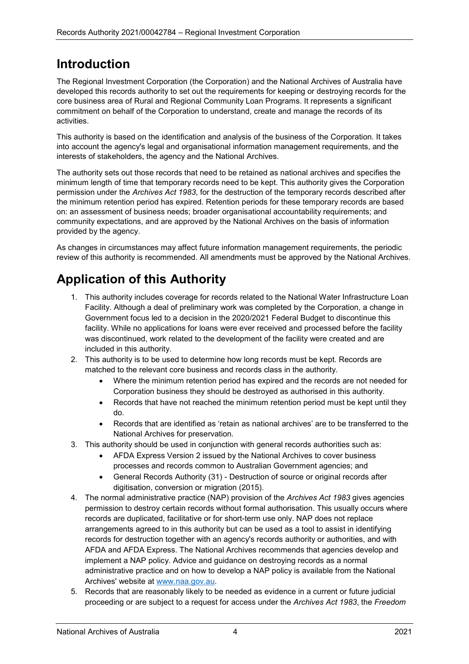### <span id="page-3-0"></span>**Introduction**

The Regional Investment Corporation (the Corporation) and the National Archives of Australia have developed this records authority to set out the requirements for keeping or destroying records for the core business area of Rural and Regional Community Loan Programs. It represents a significant commitment on behalf of the Corporation to understand, create and manage the records of its activities.

This authority is based on the identification and analysis of the business of the Corporation. It takes into account the agency's legal and organisational information management requirements, and the interests of stakeholders, the agency and the National Archives.

The authority sets out those records that need to be retained as national archives and specifies the minimum length of time that temporary records need to be kept. This authority gives the Corporation permission under the *Archives Act 1983*, for the destruction of the temporary records described after the minimum retention period has expired. Retention periods for these temporary records are based on: an assessment of business needs; broader organisational accountability requirements; and community expectations, and are approved by the National Archives on the basis of information provided by the agency.

As changes in circumstances may affect future information management requirements, the periodic review of this authority is recommended. All amendments must be approved by the National Archives.

# <span id="page-3-1"></span>**Application of this Authority**

- 1. This authority includes coverage for records related to the National Water Infrastructure Loan Facility. Although a deal of preliminary work was completed by the Corporation, a change in Government focus led to a decision in the 2020/2021 Federal Budget to discontinue this facility. While no applications for loans were ever received and processed before the facility was discontinued, work related to the development of the facility were created and are included in this authority.
- 2. This authority is to be used to determine how long records must be kept. Records are matched to the relevant core business and records class in the authority.
	- Where the minimum retention period has expired and the records are not needed for Corporation business they should be destroyed as authorised in this authority.
	- Records that have not reached the minimum retention period must be kept until they do.
	- Records that are identified as 'retain as national archives' are to be transferred to the National Archives for preservation.
- 3. This authority should be used in conjunction with general records authorities such as:
	- AFDA Express Version 2 issued by the National Archives to cover business processes and records common to Australian Government agencies; and
		- General Records Authority (31) Destruction of source or original records after digitisation, conversion or migration (2015).
- 4. The normal administrative practice (NAP) provision of the *Archives Act 1983* gives agencies permission to destroy certain records without formal authorisation. This usually occurs where records are duplicated, facilitative or for short-term use only. NAP does not replace arrangements agreed to in this authority but can be used as a tool to assist in identifying records for destruction together with an agency's records authority or authorities, and with AFDA and AFDA Express. The National Archives recommends that agencies develop and implement a NAP policy. Advice and guidance on destroying records as a normal administrative practice and on how to develop a NAP policy is available from the National Archives' website at [www.naa.gov.au.](https://www.naa.gov.au/)
- 5. Records that are reasonably likely to be needed as evidence in a current or future judicial proceeding or are subject to a request for access under the *Archives Act 1983*, the *Freedom*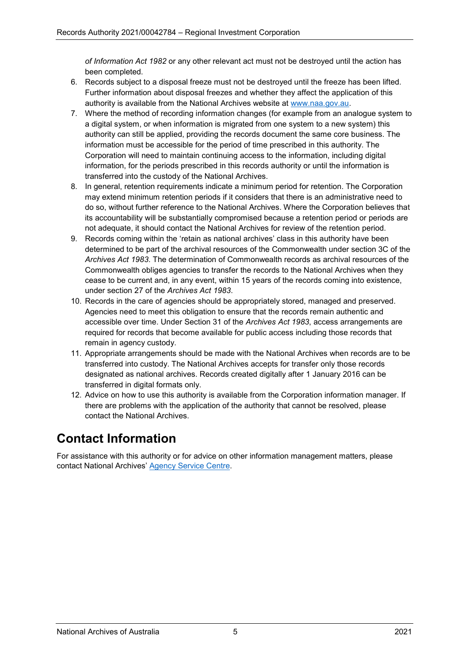*of Information Act 1982* or any other relevant act must not be destroyed until the action has been completed.

- 6. Records subject to a disposal freeze must not be destroyed until the freeze has been lifted. Further information about disposal freezes and whether they affect the application of this authority is available from the National Archives website at [www.naa.gov.au.](https://www.naa.gov.au/)
- 7. Where the method of recording information changes (for example from an analogue system to a digital system, or when information is migrated from one system to a new system) this authority can still be applied, providing the records document the same core business. The information must be accessible for the period of time prescribed in this authority. The Corporation will need to maintain continuing access to the information, including digital information, for the periods prescribed in this records authority or until the information is transferred into the custody of the National Archives.
- 8. In general, retention requirements indicate a minimum period for retention. The Corporation may extend minimum retention periods if it considers that there is an administrative need to do so, without further reference to the National Archives. Where the Corporation believes that its accountability will be substantially compromised because a retention period or periods are not adequate, it should contact the National Archives for review of the retention period.
- 9. Records coming within the 'retain as national archives' class in this authority have been determined to be part of the archival resources of the Commonwealth under section 3C of the *Archives Act 1983*. The determination of Commonwealth records as archival resources of the Commonwealth obliges agencies to transfer the records to the National Archives when they cease to be current and, in any event, within 15 years of the records coming into existence, under section 27 of the *Archives Act 1983*.
- 10. Records in the care of agencies should be appropriately stored, managed and preserved. Agencies need to meet this obligation to ensure that the records remain authentic and accessible over time. Under Section 31 of the *Archives Act 1983*, access arrangements are required for records that become available for public access including those records that remain in agency custody.
- 11. Appropriate arrangements should be made with the National Archives when records are to be transferred into custody. The National Archives accepts for transfer only those records designated as national archives. Records created digitally after 1 January 2016 can be transferred in digital formats only.
- 12. Advice on how to use this authority is available from the Corporation information manager. If there are problems with the application of the authority that cannot be resolved, please contact the National Archives.

## <span id="page-4-0"></span>**Contact Information**

For assistance with this authority or for advice on other information management matters, please contact National Archives' [Agency Service Centre.](https://www.naa.gov.au/information-management/agency-service-centre)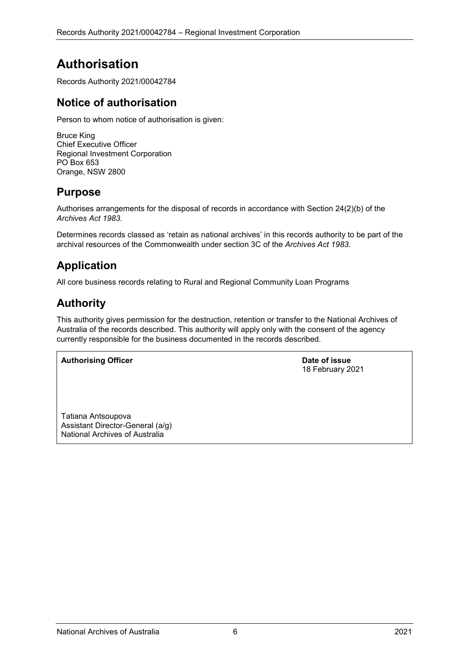# <span id="page-5-0"></span>**Authorisation**

Records Authority 2021/00042784

### **Notice of authorisation**

Person to whom notice of authorisation is given:

Bruce King Chief Executive Officer Regional Investment Corporation PO Box 653 Orange, NSW 2800

### **Purpose**

Authorises arrangements for the disposal of records in accordance with Section 24(2)(b) of the *Archives Act 1983*.

Determines records classed as 'retain as national archives' in this records authority to be part of the archival resources of the Commonwealth under section 3C of the *Archives Act 1983*.

### **Application**

All core business records relating to Rural and Regional Community Loan Programs

### **Authority**

This authority gives permission for the destruction, retention or transfer to the National Archives of Australia of the records described. This authority will apply only with the consent of the agency currently responsible for the business documented in the records described.

**Authorising Officer Date of issue** 

18 February 2021

Tatiana Antsoupova Assistant Director-General (a/g) National Archives of Australia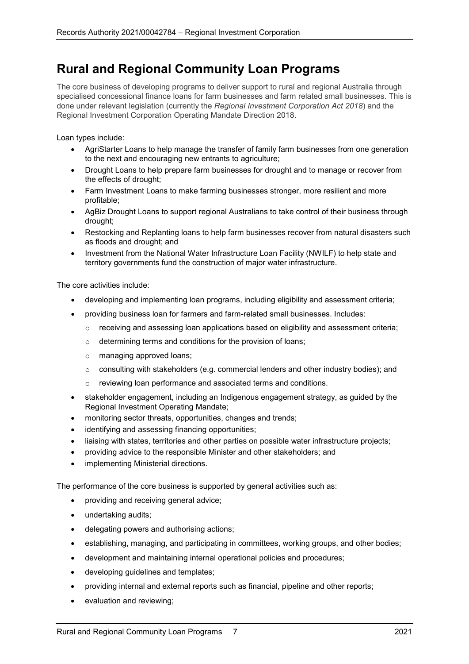### <span id="page-6-0"></span>**Rural and Regional Community Loan Programs**

The core business of developing programs to deliver support to rural and regional Australia through specialised concessional finance loans for farm businesses and farm related small businesses. This is done under relevant legislation (currently the *Regional Investment Corporation Act 2018*) and the Regional Investment Corporation Operating Mandate Direction 2018.

Loan types include:

- AgriStarter Loans to help manage the transfer of family farm businesses from one generation to the next and encouraging new entrants to agriculture;
- Drought Loans to help prepare farm businesses for drought and to manage or recover from the effects of drought;
- Farm Investment Loans to make farming businesses stronger, more resilient and more profitable;
- AgBiz Drought Loans to support regional Australians to take control of their business through drought;
- Restocking and Replanting loans to help farm businesses recover from natural disasters such as floods and drought; and
- Investment from the National Water Infrastructure Loan Facility (NWILF) to help state and territory governments fund the construction of major water infrastructure.

The core activities include:

- developing and implementing loan programs, including eligibility and assessment criteria;
- providing business loan for farmers and farm-related small businesses. Includes:
	- $\circ$  receiving and assessing loan applications based on eligibility and assessment criteria;
	- $\circ$  determining terms and conditions for the provision of loans;
	- o managing approved loans;
	- $\circ$  consulting with stakeholders (e.g. commercial lenders and other industry bodies); and
	- o reviewing loan performance and associated terms and conditions.
- stakeholder engagement, including an Indigenous engagement strategy, as guided by the Regional Investment Operating Mandate;
- monitoring sector threats, opportunities, changes and trends;
- identifying and assessing financing opportunities;
- liaising with states, territories and other parties on possible water infrastructure projects;
- providing advice to the responsible Minister and other stakeholders; and
- implementing Ministerial directions.

The performance of the core business is supported by general activities such as:

- providing and receiving general advice;
- undertaking audits;
- delegating powers and authorising actions;
- establishing, managing, and participating in committees, working groups, and other bodies;
- development and maintaining internal operational policies and procedures;
- developing guidelines and templates;
- providing internal and external reports such as financial, pipeline and other reports;
- evaluation and reviewing;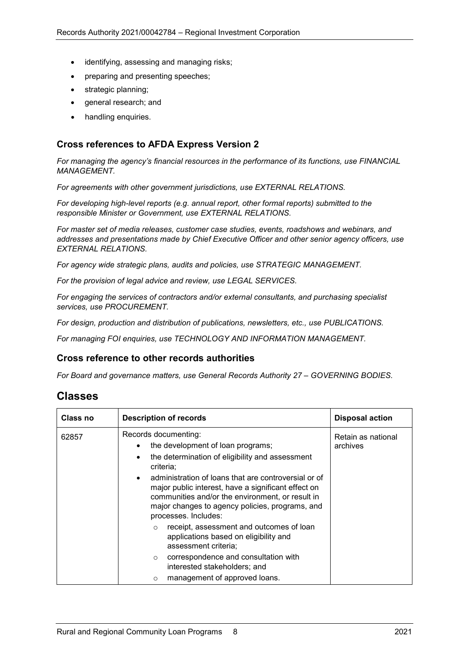- identifying, assessing and managing risks;
- preparing and presenting speeches;
- strategic planning;
- general research; and
- handling enquiries.

#### **Cross references to AFDA Express Version 2**

*For managing the agency's financial resources in the performance of its functions, use FINANCIAL MANAGEMENT.*

*For agreements with other government jurisdictions, use EXTERNAL RELATIONS.*

*For developing high-level reports (e.g. annual report, other formal reports) submitted to the responsible Minister or Government, use EXTERNAL RELATIONS.*

*For master set of media releases, customer case studies, events, roadshows and webinars, and addresses and presentations made by Chief Executive Officer and other senior agency officers, use EXTERNAL RELATIONS.*

*For agency wide strategic plans, audits and policies, use STRATEGIC MANAGEMENT.*

*For the provision of legal advice and review, use LEGAL SERVICES.*

*For engaging the services of contractors and/or external consultants, and purchasing specialist services, use PROCUREMENT.*

*For design, production and distribution of publications, newsletters, etc., use PUBLICATIONS.*

*For managing FOI enquiries, use TECHNOLOGY AND INFORMATION MANAGEMENT.*

#### **Cross reference to other records authorities**

*For Board and governance matters, use General Records Authority 27 – GOVERNING BODIES.*

### **Classes**

| Class no | <b>Description of records</b>                                                                                                                                                                                                                                                                                                                                                        | <b>Disposal action</b>         |
|----------|--------------------------------------------------------------------------------------------------------------------------------------------------------------------------------------------------------------------------------------------------------------------------------------------------------------------------------------------------------------------------------------|--------------------------------|
| 62857    | Records documenting:<br>the development of loan programs;<br>$\bullet$<br>the determination of eligibility and assessment<br>criteria:<br>administration of loans that are controversial or of<br>major public interest, have a significant effect on<br>communities and/or the environment, or result in<br>major changes to agency policies, programs, and<br>processes. Includes: | Retain as national<br>archives |
|          | receipt, assessment and outcomes of loan<br>$\Omega$<br>applications based on eligibility and<br>assessment criteria;                                                                                                                                                                                                                                                                |                                |
|          | correspondence and consultation with<br>$\circ$<br>interested stakeholders; and                                                                                                                                                                                                                                                                                                      |                                |
|          | management of approved loans.<br>$\circ$                                                                                                                                                                                                                                                                                                                                             |                                |